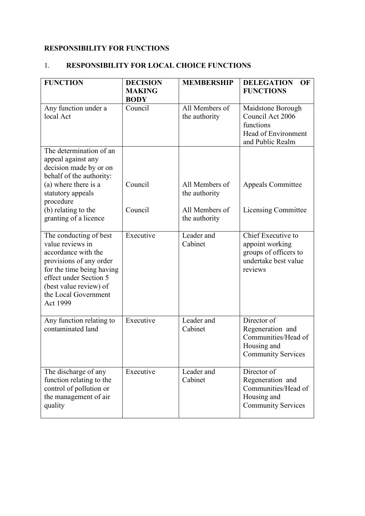# **RESPONSIBILITY FOR FUNCTIONS**

# 1. **RESPONSIBILITY FOR LOCAL CHOICE FUNCTIONS**

| <b>FUNCTION</b>                                                                                                                                                                                                   | <b>DECISION</b><br><b>MAKING</b><br><b>BODY</b> | <b>MEMBERSHIP</b>               | <b>DELEGATION</b><br>OF<br><b>FUNCTIONS</b>                                                        |
|-------------------------------------------------------------------------------------------------------------------------------------------------------------------------------------------------------------------|-------------------------------------------------|---------------------------------|----------------------------------------------------------------------------------------------------|
| Any function under a<br>local Act                                                                                                                                                                                 | Council                                         | All Members of<br>the authority | Maidstone Borough<br>Council Act 2006<br>functions<br>Head of Environment<br>and Public Realm      |
| The determination of an<br>appeal against any<br>decision made by or on<br>behalf of the authority:                                                                                                               |                                                 |                                 |                                                                                                    |
| (a) where there is a<br>statutory appeals<br>procedure                                                                                                                                                            | Council                                         | All Members of<br>the authority | <b>Appeals Committee</b>                                                                           |
| (b) relating to the<br>granting of a licence                                                                                                                                                                      | Council                                         | All Members of<br>the authority | Licensing Committee                                                                                |
| The conducting of best<br>value reviews in<br>accordance with the<br>provisions of any order<br>for the time being having<br>effect under Section 5<br>(best value review) of<br>the Local Government<br>Act 1999 | Executive                                       | Leader and<br>Cabinet           | Chief Executive to<br>appoint working<br>groups of officers to<br>undertake best value<br>reviews  |
| Any function relating to<br>contaminated land                                                                                                                                                                     | Executive                                       | Leader and<br>Cabinet           | Director of<br>Regeneration and<br>Communities/Head of<br>Housing and<br><b>Community Services</b> |
| The discharge of any<br>function relating to the<br>control of pollution or<br>the management of air<br>quality                                                                                                   | Executive                                       | Leader and<br>Cabinet           | Director of<br>Regeneration and<br>Communities/Head of<br>Housing and<br><b>Community Services</b> |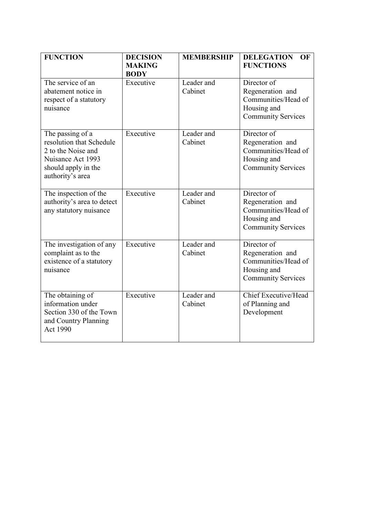| <b>FUNCTION</b>                                                                                                                    | <b>DECISION</b><br><b>MAKING</b><br><b>BODY</b> | <b>MEMBERSHIP</b>     | <b>DELEGATION</b><br><b>OF</b><br><b>FUNCTIONS</b>                                                 |
|------------------------------------------------------------------------------------------------------------------------------------|-------------------------------------------------|-----------------------|----------------------------------------------------------------------------------------------------|
| The service of an<br>abatement notice in<br>respect of a statutory<br>nuisance                                                     | Executive                                       | Leader and<br>Cabinet | Director of<br>Regeneration and<br>Communities/Head of<br>Housing and<br><b>Community Services</b> |
| The passing of a<br>resolution that Schedule<br>2 to the Noise and<br>Nuisance Act 1993<br>should apply in the<br>authority's area | Executive                                       | Leader and<br>Cabinet | Director of<br>Regeneration and<br>Communities/Head of<br>Housing and<br><b>Community Services</b> |
| The inspection of the<br>authority's area to detect<br>any statutory nuisance                                                      | Executive                                       | Leader and<br>Cabinet | Director of<br>Regeneration and<br>Communities/Head of<br>Housing and<br><b>Community Services</b> |
| The investigation of any<br>complaint as to the<br>existence of a statutory<br>nuisance                                            | Executive                                       | Leader and<br>Cabinet | Director of<br>Regeneration and<br>Communities/Head of<br>Housing and<br><b>Community Services</b> |
| The obtaining of<br>information under<br>Section 330 of the Town<br>and Country Planning<br><b>Act 1990</b>                        | Executive                                       | Leader and<br>Cabinet | Chief Executive/Head<br>of Planning and<br>Development                                             |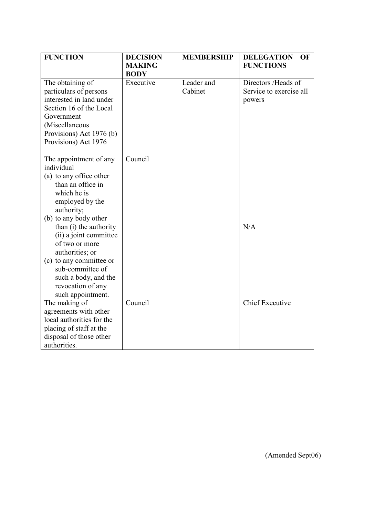| <b>FUNCTION</b>                                                                                                                                                                       | <b>DECISION</b><br><b>MAKING</b> | <b>MEMBERSHIP</b>     | <b>DELEGATION</b><br>OF<br><b>FUNCTIONS</b>              |
|---------------------------------------------------------------------------------------------------------------------------------------------------------------------------------------|----------------------------------|-----------------------|----------------------------------------------------------|
|                                                                                                                                                                                       | <b>BODY</b>                      |                       |                                                          |
| The obtaining of<br>particulars of persons<br>interested in land under<br>Section 16 of the Local<br>Government<br>(Miscellaneous<br>Provisions) Act 1976 (b)<br>Provisions) Act 1976 | Executive                        | Leader and<br>Cabinet | Directors /Heads of<br>Service to exercise all<br>powers |
| The appointment of any<br>individual                                                                                                                                                  | Counti                           |                       |                                                          |
| (a) to any office other<br>than an office in<br>which he is<br>employed by the<br>authority;                                                                                          |                                  |                       |                                                          |
| (b) to any body other<br>than (i) the authority<br>(ii) a joint committee<br>of two or more<br>authorities; or                                                                        |                                  |                       | N/A                                                      |
| (c) to any committee or<br>sub-committee of<br>such a body, and the<br>revocation of any<br>such appointment.                                                                         |                                  |                       |                                                          |
| The making of<br>agreements with other<br>local authorities for the<br>placing of staff at the<br>disposal of those other<br>authorities.                                             | Council                          |                       | <b>Chief Executive</b>                                   |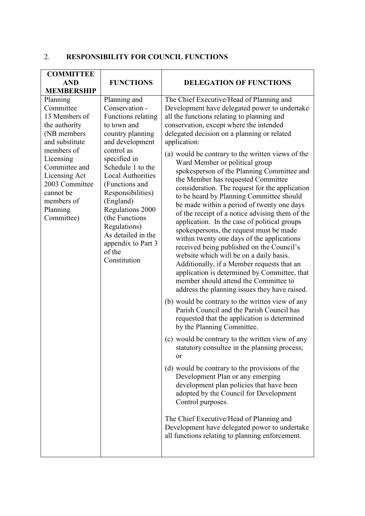# 2. **RESPONSIBILITY FOR COUNCIL FUNCTIONS**

| <b>COMMITTEE</b>               |                               |                                                                                                  |
|--------------------------------|-------------------------------|--------------------------------------------------------------------------------------------------|
| <b>AND</b>                     | <b>FUNCTIONS</b>              | <b>DELEGATION OF FUNCTIONS</b>                                                                   |
| <b>MEMBERSHIP</b>              |                               |                                                                                                  |
| Planning                       | Planning and                  | The Chief Executive/Head of Planning and                                                         |
| Committee                      | Conservation -                | Development have delegated power to undertake                                                    |
| 13 Members of                  | Functions relating            | all the functions relating to planning and                                                       |
| the authority                  | to town and                   | conservation, except where the intended                                                          |
| (NB members)<br>and substitute | country planning              | delegated decision on a planning or related                                                      |
| members of                     | and development<br>control as | application:                                                                                     |
| Licensing                      | specified in                  | (a) would be contrary to the written views of the                                                |
| Committee and                  | Schedule 1 to the             | Ward Member or political group                                                                   |
| Licensing Act                  | <b>Local Authorities</b>      | spokesperson of the Planning Committee and                                                       |
| 2003 Committee                 | (Functions and                | the Member has requested Committee                                                               |
| cannot be                      | Responsibilities)             | consideration. The request for the application                                                   |
| members of                     | (England)                     | to be heard by Planning Committee should                                                         |
| Planning                       | Regulations 2000              | be made within a period of twenty one days<br>of the receipt of a notice advising them of the    |
| Committee)                     | (the Functions)               | application. In the case of political groups                                                     |
|                                | Regulations)                  | spokespersons, the request must be made                                                          |
|                                | As detailed in the            | within twenty one days of the applications                                                       |
|                                | appendix to Part 3            | received being published on the Council's                                                        |
|                                | of the<br>Constitution        | website which will be on a daily basis.                                                          |
|                                |                               | Additionally, if a Member requests that an                                                       |
|                                |                               | application is determined by Committee, that                                                     |
|                                |                               | member should attend the Committee to                                                            |
|                                |                               | address the planning issues they have raised.                                                    |
|                                |                               | (b) would be contrary to the written view of any                                                 |
|                                |                               | Parish Council and the Parish Council has                                                        |
|                                |                               | requested that the application is determined                                                     |
|                                |                               | by the Planning Committee.                                                                       |
|                                |                               | (c) would be contrary to the written view of any<br>statutory consultee in the planning process; |
|                                |                               | or                                                                                               |
|                                |                               |                                                                                                  |
|                                |                               | (d) would be contrary to the provisions of the<br>Development Plan or any emerging               |
|                                |                               | development plan policies that have been                                                         |
|                                |                               | adopted by the Council for Development                                                           |
|                                |                               | Control purposes.                                                                                |
|                                |                               | The Chief Executive/Head of Planning and                                                         |
|                                |                               | Development have delegated power to undertake                                                    |
|                                |                               | all functions relating to planning enforcement.                                                  |
|                                |                               |                                                                                                  |
|                                |                               |                                                                                                  |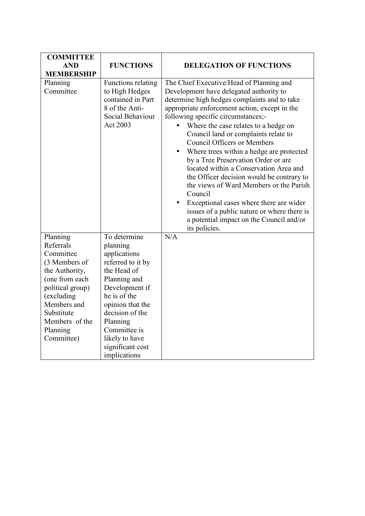| <b>COMMITTEE</b>                                                                                                                                                                                   |                                                                                                                                                                                                                                                         |                                                                                                                                                                                                                                                                                                                                                                                                                                                                                                                                                                                                                                                                                                                                                      |
|----------------------------------------------------------------------------------------------------------------------------------------------------------------------------------------------------|---------------------------------------------------------------------------------------------------------------------------------------------------------------------------------------------------------------------------------------------------------|------------------------------------------------------------------------------------------------------------------------------------------------------------------------------------------------------------------------------------------------------------------------------------------------------------------------------------------------------------------------------------------------------------------------------------------------------------------------------------------------------------------------------------------------------------------------------------------------------------------------------------------------------------------------------------------------------------------------------------------------------|
| <b>AND</b>                                                                                                                                                                                         | <b>FUNCTIONS</b>                                                                                                                                                                                                                                        | <b>DELEGATION OF FUNCTIONS</b>                                                                                                                                                                                                                                                                                                                                                                                                                                                                                                                                                                                                                                                                                                                       |
| <b>MEMBERSHIP</b>                                                                                                                                                                                  |                                                                                                                                                                                                                                                         |                                                                                                                                                                                                                                                                                                                                                                                                                                                                                                                                                                                                                                                                                                                                                      |
| Planning<br>Committee                                                                                                                                                                              | Functions relating<br>to High Hedges<br>contained in Part<br>8 of the Anti-<br>Social Behaviour<br>Act 2003                                                                                                                                             | The Chief Executive/Head of Planning and<br>Development have delegated authority to<br>determine high hedges complaints and to take<br>appropriate enforcement action, except in the<br>following specific circumstances;-<br>Where the case relates to a hedge on<br>Council land or complaints relate to<br><b>Council Officers or Members</b><br>Where trees within a hedge are protected<br>$\bullet$<br>by a Tree Preservation Order or are<br>located within a Conservation Area and<br>the Officer decision would be contrary to<br>the views of Ward Members or the Parish<br>Council<br>Exceptional cases where there are wider<br>issues of a public nature or where there is<br>a potential impact on the Council and/or<br>its policies. |
| Planning<br>Referrals<br>Committee<br>(3 Members of<br>the Authority,<br>(one from each<br>political group)<br>(excluding<br>Members and<br>Substitute<br>Members of the<br>Planning<br>Committee) | To determine<br>planning<br>applications<br>referred to it by<br>the Head of<br>Planning and<br>Development if<br>he is of the<br>opinion that the<br>decision of the<br>Planning<br>Committee is<br>likely to have<br>significant cost<br>implications | N/A                                                                                                                                                                                                                                                                                                                                                                                                                                                                                                                                                                                                                                                                                                                                                  |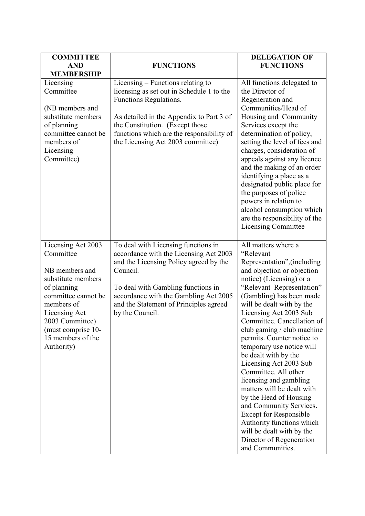| <b>COMMITTEE</b><br><b>AND</b><br><b>MEMBERSHIP</b>                                                                                                                                                                      | <b>FUNCTIONS</b>                                                                                                                                                                                                                                                                | <b>DELEGATION OF</b><br><b>FUNCTIONS</b>                                                                                                                                                                                                                                                                                                                                                                                                                                                                                                                                                                                                                                                           |
|--------------------------------------------------------------------------------------------------------------------------------------------------------------------------------------------------------------------------|---------------------------------------------------------------------------------------------------------------------------------------------------------------------------------------------------------------------------------------------------------------------------------|----------------------------------------------------------------------------------------------------------------------------------------------------------------------------------------------------------------------------------------------------------------------------------------------------------------------------------------------------------------------------------------------------------------------------------------------------------------------------------------------------------------------------------------------------------------------------------------------------------------------------------------------------------------------------------------------------|
| Licensing<br>Committee<br>(NB members and<br>substitute members<br>of planning<br>committee cannot be<br>members of<br>Licensing<br>Committee)                                                                           | Licensing – Functions relating to<br>licensing as set out in Schedule 1 to the<br>Functions Regulations.<br>As detailed in the Appendix to Part 3 of<br>the Constitution. (Except those<br>functions which are the responsibility of<br>the Licensing Act 2003 committee)       | All functions delegated to<br>the Director of<br>Regeneration and<br>Communities/Head of<br>Housing and Community<br>Services except the<br>determination of policy,<br>setting the level of fees and<br>charges, consideration of<br>appeals against any licence<br>and the making of an order<br>identifying a place as a<br>designated public place for<br>the purposes of police<br>powers in relation to<br>alcohol consumption which<br>are the responsibility of the<br><b>Licensing Committee</b>                                                                                                                                                                                          |
| Licensing Act 2003<br>Committee<br>NB members and<br>substitute members<br>of planning<br>committee cannot be<br>members of<br>Licensing Act<br>2003 Committee)<br>(must comprise 10-<br>15 members of the<br>Authority) | To deal with Licensing functions in<br>accordance with the Licensing Act 2003<br>and the Licensing Policy agreed by the<br>Council.<br>To deal with Gambling functions in<br>accordance with the Gambling Act 2005<br>and the Statement of Principles agreed<br>by the Council. | All matters where a<br>"Relevant<br>Representation", (including<br>and objection or objection<br>notice) (Licensing) or a<br>"Relevant Representation"<br>(Gambling) has been made<br>will be dealt with by the<br>Licensing Act 2003 Sub<br>Committee. Cancellation of<br>club gaming / club machine<br>permits. Counter notice to<br>temporary use notice will<br>be dealt with by the<br>Licensing Act 2003 Sub<br>Committee. All other<br>licensing and gambling<br>matters will be dealt with<br>by the Head of Housing<br>and Community Services.<br><b>Except for Responsible</b><br>Authority functions which<br>will be dealt with by the<br>Director of Regeneration<br>and Communities. |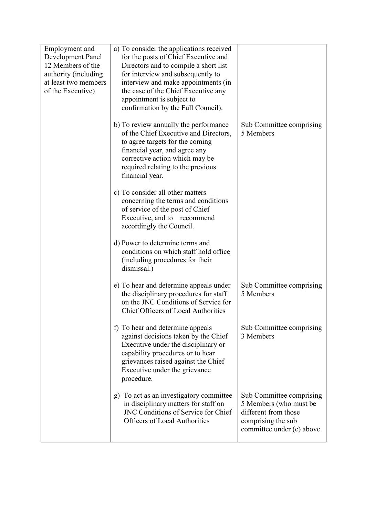| Employment and       | a) To consider the applications received                                        |                                                    |
|----------------------|---------------------------------------------------------------------------------|----------------------------------------------------|
| Development Panel    | for the posts of Chief Executive and                                            |                                                    |
| 12 Members of the    | Directors and to compile a short list                                           |                                                    |
| authority (including | for interview and subsequently to                                               |                                                    |
| at least two members | interview and make appointments (in                                             |                                                    |
| of the Executive)    | the case of the Chief Executive any                                             |                                                    |
|                      | appointment is subject to                                                       |                                                    |
|                      | confirmation by the Full Council).                                              |                                                    |
|                      | b) To review annually the performance<br>of the Chief Executive and Directors,  | Sub Committee comprising<br>5 Members              |
|                      | to agree targets for the coming                                                 |                                                    |
|                      | financial year, and agree any                                                   |                                                    |
|                      | corrective action which may be                                                  |                                                    |
|                      | required relating to the previous                                               |                                                    |
|                      | financial year.                                                                 |                                                    |
|                      | c) To consider all other matters<br>concerning the terms and conditions         |                                                    |
|                      | of service of the post of Chief                                                 |                                                    |
|                      | Executive, and to recommend                                                     |                                                    |
|                      | accordingly the Council.                                                        |                                                    |
|                      | d) Power to determine terms and                                                 |                                                    |
|                      | conditions on which staff hold office                                           |                                                    |
|                      | (including procedures for their                                                 |                                                    |
|                      | dismissal.)                                                                     |                                                    |
|                      |                                                                                 |                                                    |
|                      | e) To hear and determine appeals under                                          | Sub Committee comprising<br>5 Members              |
|                      | the disciplinary procedures for staff<br>on the JNC Conditions of Service for   |                                                    |
|                      | <b>Chief Officers of Local Authorities</b>                                      |                                                    |
|                      |                                                                                 |                                                    |
|                      | f) To hear and determine appeals<br>against decisions taken by the Chief        | Sub Committee comprising<br>3 Members              |
|                      | Executive under the disciplinary or                                             |                                                    |
|                      | capability procedures or to hear                                                |                                                    |
|                      | grievances raised against the Chief                                             |                                                    |
|                      | Executive under the grievance                                                   |                                                    |
|                      | procedure.                                                                      |                                                    |
|                      |                                                                                 |                                                    |
|                      | g) To act as an investigatory committee<br>in disciplinary matters for staff on | Sub Committee comprising<br>5 Members (who must be |
|                      | <b>JNC Conditions of Service for Chief</b>                                      | different from those                               |
|                      | <b>Officers of Local Authorities</b>                                            | comprising the sub                                 |
|                      |                                                                                 | committee under (e) above                          |
|                      |                                                                                 |                                                    |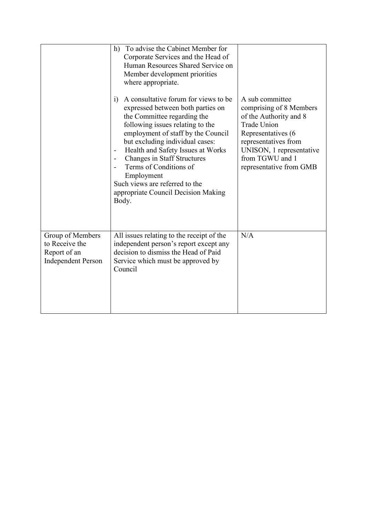|                                                                                 | To advise the Cabinet Member for<br>h)<br>Corporate Services and the Head of<br>Human Resources Shared Service on<br>Member development priorities<br>where appropriate.<br>A consultative forum for views to be<br>i)<br>expressed between both parties on<br>the Committee regarding the<br>following issues relating to the                              | A sub committee<br>comprising of 8 Members<br>of the Authority and 8<br><b>Trade Union</b>                           |
|---------------------------------------------------------------------------------|-------------------------------------------------------------------------------------------------------------------------------------------------------------------------------------------------------------------------------------------------------------------------------------------------------------------------------------------------------------|----------------------------------------------------------------------------------------------------------------------|
|                                                                                 | employment of staff by the Council<br>but excluding individual cases:<br>Health and Safety Issues at Works<br>$\qquad \qquad \blacksquare$<br><b>Changes in Staff Structures</b><br>$\qquad \qquad -$<br>Terms of Conditions of<br>$\overline{\phantom{a}}$<br>Employment<br>Such views are referred to the<br>appropriate Council Decision Making<br>Body. | Representatives (6<br>representatives from<br>UNISON, 1 representative<br>from TGWU and 1<br>representative from GMB |
| Group of Members<br>to Receive the<br>Report of an<br><b>Independent Person</b> | All issues relating to the receipt of the<br>independent person's report except any<br>decision to dismiss the Head of Paid<br>Service which must be approved by<br>Council                                                                                                                                                                                 | N/A                                                                                                                  |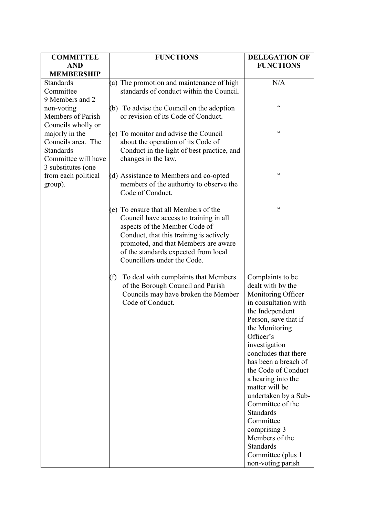| <b>COMMITTEE</b>                      | <b>FUNCTIONS</b>                                                                                                                       | <b>DELEGATION OF</b>                                                                                                                                                                                                                                                                             |
|---------------------------------------|----------------------------------------------------------------------------------------------------------------------------------------|--------------------------------------------------------------------------------------------------------------------------------------------------------------------------------------------------------------------------------------------------------------------------------------------------|
| <b>AND</b>                            |                                                                                                                                        | <b>FUNCTIONS</b>                                                                                                                                                                                                                                                                                 |
| <b>MEMBERSHIP</b><br><b>Standards</b> | (a) The promotion and maintenance of high                                                                                              | N/A                                                                                                                                                                                                                                                                                              |
| Committee                             | standards of conduct within the Council.                                                                                               |                                                                                                                                                                                                                                                                                                  |
| 9 Members and 2                       |                                                                                                                                        |                                                                                                                                                                                                                                                                                                  |
| non-voting                            | (b) To advise the Council on the adoption                                                                                              | $\boldsymbol{\varsigma}$ $\boldsymbol{\varsigma}$                                                                                                                                                                                                                                                |
| Members of Parish                     | or revision of its Code of Conduct.                                                                                                    |                                                                                                                                                                                                                                                                                                  |
| Councils wholly or                    |                                                                                                                                        | $\boldsymbol{\zeta}$                                                                                                                                                                                                                                                                             |
| majorly in the<br>Councils area. The  | (c) To monitor and advise the Council                                                                                                  |                                                                                                                                                                                                                                                                                                  |
| <b>Standards</b>                      | about the operation of its Code of<br>Conduct in the light of best practice, and                                                       |                                                                                                                                                                                                                                                                                                  |
| Committee will have                   | changes in the law,                                                                                                                    |                                                                                                                                                                                                                                                                                                  |
| 3 substitutes (one                    |                                                                                                                                        |                                                                                                                                                                                                                                                                                                  |
| from each political                   | (d) Assistance to Members and co-opted                                                                                                 | $\boldsymbol{\zeta}$                                                                                                                                                                                                                                                                             |
| group).                               | members of the authority to observe the                                                                                                |                                                                                                                                                                                                                                                                                                  |
|                                       | Code of Conduct.                                                                                                                       |                                                                                                                                                                                                                                                                                                  |
|                                       | (e) To ensure that all Members of the                                                                                                  | $\boldsymbol{\zeta}$                                                                                                                                                                                                                                                                             |
|                                       | Council have access to training in all                                                                                                 |                                                                                                                                                                                                                                                                                                  |
|                                       | aspects of the Member Code of                                                                                                          |                                                                                                                                                                                                                                                                                                  |
|                                       | Conduct, that this training is actively                                                                                                |                                                                                                                                                                                                                                                                                                  |
|                                       | promoted, and that Members are aware                                                                                                   |                                                                                                                                                                                                                                                                                                  |
|                                       |                                                                                                                                        |                                                                                                                                                                                                                                                                                                  |
|                                       |                                                                                                                                        |                                                                                                                                                                                                                                                                                                  |
|                                       |                                                                                                                                        |                                                                                                                                                                                                                                                                                                  |
|                                       | of the Borough Council and Parish                                                                                                      | dealt with by the                                                                                                                                                                                                                                                                                |
|                                       | Councils may have broken the Member                                                                                                    | Monitoring Officer                                                                                                                                                                                                                                                                               |
|                                       |                                                                                                                                        |                                                                                                                                                                                                                                                                                                  |
|                                       |                                                                                                                                        |                                                                                                                                                                                                                                                                                                  |
|                                       |                                                                                                                                        |                                                                                                                                                                                                                                                                                                  |
|                                       |                                                                                                                                        |                                                                                                                                                                                                                                                                                                  |
|                                       |                                                                                                                                        |                                                                                                                                                                                                                                                                                                  |
|                                       |                                                                                                                                        | concludes that there                                                                                                                                                                                                                                                                             |
|                                       |                                                                                                                                        | has been a breach of                                                                                                                                                                                                                                                                             |
|                                       |                                                                                                                                        | the Code of Conduct                                                                                                                                                                                                                                                                              |
|                                       |                                                                                                                                        |                                                                                                                                                                                                                                                                                                  |
|                                       |                                                                                                                                        |                                                                                                                                                                                                                                                                                                  |
|                                       |                                                                                                                                        |                                                                                                                                                                                                                                                                                                  |
|                                       |                                                                                                                                        | Standards                                                                                                                                                                                                                                                                                        |
|                                       |                                                                                                                                        | Committee                                                                                                                                                                                                                                                                                        |
|                                       |                                                                                                                                        | comprising 3                                                                                                                                                                                                                                                                                     |
|                                       |                                                                                                                                        |                                                                                                                                                                                                                                                                                                  |
|                                       |                                                                                                                                        |                                                                                                                                                                                                                                                                                                  |
|                                       |                                                                                                                                        |                                                                                                                                                                                                                                                                                                  |
|                                       | of the standards expected from local<br>Councillors under the Code.<br>To deal with complaints that Members<br>(f)<br>Code of Conduct. | Complaints to be<br>in consultation with<br>the Independent<br>Person, save that if<br>the Monitoring<br>Officer's<br>investigation<br>a hearing into the<br>matter will be<br>undertaken by a Sub-<br>Committee of the<br>Members of the<br>Standards<br>Committee (plus 1<br>non-voting parish |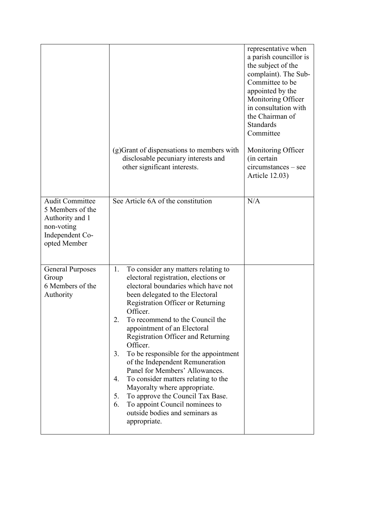|                                                                                                                | (g) Grant of dispensations to members with<br>disclosable pecuniary interests and<br>other significant interests.                                                                                                                                                                                                                                                                                                                                                                                                                                                                                                                                                           | representative when<br>a parish councillor is<br>the subject of the<br>complaint). The Sub-<br>Committee to be<br>appointed by the<br>Monitoring Officer<br>in consultation with<br>the Chairman of<br><b>Standards</b><br>Committee<br>Monitoring Officer<br>(in certain<br>$circumstances - see$<br><b>Article 12.03)</b> |
|----------------------------------------------------------------------------------------------------------------|-----------------------------------------------------------------------------------------------------------------------------------------------------------------------------------------------------------------------------------------------------------------------------------------------------------------------------------------------------------------------------------------------------------------------------------------------------------------------------------------------------------------------------------------------------------------------------------------------------------------------------------------------------------------------------|-----------------------------------------------------------------------------------------------------------------------------------------------------------------------------------------------------------------------------------------------------------------------------------------------------------------------------|
| <b>Audit Committee</b><br>5 Members of the<br>Authority and 1<br>non-voting<br>Independent Co-<br>opted Member | See Article 6A of the constitution                                                                                                                                                                                                                                                                                                                                                                                                                                                                                                                                                                                                                                          | N/A                                                                                                                                                                                                                                                                                                                         |
| <b>General Purposes</b><br>Group<br>6 Members of the<br>Authority                                              | To consider any matters relating to<br>1.<br>electoral registration, elections or<br>electoral boundaries which have not<br>been delegated to the Electoral<br>Registration Officer or Returning<br>Officer.<br>To recommend to the Council the<br>2.<br>appointment of an Electoral<br>Registration Officer and Returning<br>Officer.<br>To be responsible for the appointment<br>3.<br>of the Independent Remuneration<br>Panel for Members' Allowances.<br>To consider matters relating to the<br>4.<br>Mayoralty where appropriate.<br>5.<br>To approve the Council Tax Base.<br>To appoint Council nominees to<br>6.<br>outside bodies and seminars as<br>appropriate. |                                                                                                                                                                                                                                                                                                                             |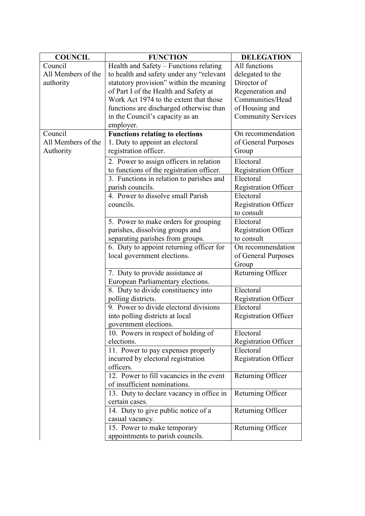| <b>COUNCIL</b>     | <b>FUNCTION</b>                           | <b>DELEGATION</b>           |
|--------------------|-------------------------------------------|-----------------------------|
| Council            | Health and Safety - Functions relating    | All functions               |
| All Members of the | to health and safety under any "relevant  | delegated to the            |
| authority          | statutory provision" within the meaning   | Director of                 |
|                    | of Part I of the Health and Safety at     | Regeneration and            |
|                    | Work Act 1974 to the extent that those    | Communities/Head            |
|                    | functions are discharged otherwise than   | of Housing and              |
|                    | in the Council's capacity as an           | <b>Community Services</b>   |
|                    | employer.                                 |                             |
| Council            | <b>Functions relating to elections</b>    | On recommendation           |
| All Members of the | 1. Duty to appoint an electoral           | of General Purposes         |
| Authority          | registration officer.                     | Group                       |
|                    | 2. Power to assign officers in relation   | Electoral                   |
|                    | to functions of the registration officer. | <b>Registration Officer</b> |
|                    | 3. Functions in relation to parishes and  | Electoral                   |
|                    | parish councils.                          | <b>Registration Officer</b> |
|                    | 4. Power to dissolve small Parish         | Electoral                   |
|                    | councils.                                 | <b>Registration Officer</b> |
|                    |                                           | to consult                  |
|                    | 5. Power to make orders for grouping      | Electoral                   |
|                    | parishes, dissolving groups and           | <b>Registration Officer</b> |
|                    | separating parishes from groups.          | to consult                  |
|                    | 6. Duty to appoint returning officer for  | On recommendation           |
|                    | local government elections.               | of General Purposes         |
|                    |                                           | Group                       |
|                    | 7. Duty to provide assistance at          | Returning Officer           |
|                    | European Parliamentary elections.         |                             |
|                    | 8. Duty to divide constituency into       | Electoral                   |
|                    | polling districts.                        | <b>Registration Officer</b> |
|                    | 9. Power to divide electoral divisions    | Electoral                   |
|                    | into polling districts at local           | <b>Registration Officer</b> |
|                    | government elections.                     |                             |
|                    | 10. Powers in respect of holding of       | Electoral                   |
|                    | elections.                                | <b>Registration Officer</b> |
|                    | 11. Power to pay expenses properly        | Electoral                   |
|                    | incurred by electoral registration        | <b>Registration Officer</b> |
|                    | officers.                                 |                             |
|                    | 12. Power to fill vacancies in the event  | Returning Officer           |
|                    | of insufficient nominations.              |                             |
|                    | 13. Duty to declare vacancy in office in  | Returning Officer           |
|                    | certain cases.                            |                             |
|                    | 14. Duty to give public notice of a       | Returning Officer           |
|                    | casual vacancy.                           |                             |
|                    | 15. Power to make temporary               | Returning Officer           |
|                    | appointments to parish councils.          |                             |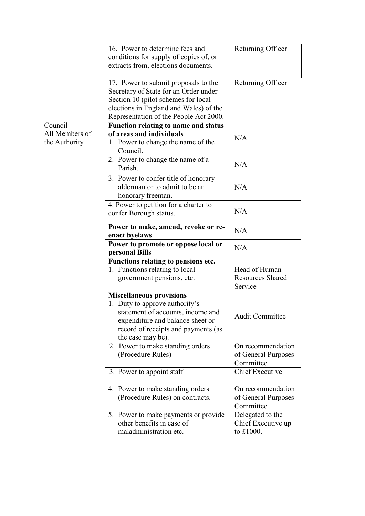|                | 16. Power to determine fees and                                                  | Returning Officer       |
|----------------|----------------------------------------------------------------------------------|-------------------------|
|                | conditions for supply of copies of, or                                           |                         |
|                | extracts from, elections documents.                                              |                         |
|                |                                                                                  |                         |
|                | 17. Power to submit proposals to the                                             | Returning Officer       |
|                | Secretary of State for an Order under                                            |                         |
|                | Section 10 (pilot schemes for local                                              |                         |
|                | elections in England and Wales) of the<br>Representation of the People Act 2000. |                         |
| Council        | Function relating to name and status                                             |                         |
| All Members of | of areas and individuals                                                         |                         |
| the Authority  | 1. Power to change the name of the                                               | N/A                     |
|                | Council.                                                                         |                         |
|                | 2. Power to change the name of a                                                 |                         |
|                | Parish.                                                                          | N/A                     |
|                | 3. Power to confer title of honorary                                             |                         |
|                | alderman or to admit to be an                                                    | N/A                     |
|                | honorary freeman.                                                                |                         |
|                | 4. Power to petition for a charter to                                            |                         |
|                | confer Borough status.                                                           | N/A                     |
|                |                                                                                  |                         |
|                | Power to make, amend, revoke or re-                                              | N/A                     |
|                | enact byelaws                                                                    |                         |
|                | Power to promote or oppose local or                                              | N/A                     |
|                | personal Bills                                                                   |                         |
|                | Functions relating to pensions etc.<br>1. Functions relating to local            | Head of Human           |
|                | government pensions, etc.                                                        | <b>Resources Shared</b> |
|                |                                                                                  | Service                 |
|                | <b>Miscellaneous provisions</b>                                                  |                         |
|                | 1. Duty to approve authority's                                                   |                         |
|                | statement of accounts, income and                                                |                         |
|                | expenditure and balance sheet or                                                 | <b>Audit Committee</b>  |
|                | record of receipts and payments (as                                              |                         |
|                |                                                                                  |                         |
|                | the case may be).                                                                |                         |
|                | 2. Power to make standing orders                                                 | On recommendation       |
|                | (Procedure Rules)                                                                | of General Purposes     |
|                |                                                                                  | Committee               |
|                | 3. Power to appoint staff                                                        | <b>Chief Executive</b>  |
|                | 4. Power to make standing orders                                                 | On recommendation       |
|                | (Procedure Rules) on contracts.                                                  | of General Purposes     |
|                |                                                                                  | Committee               |
|                | 5. Power to make payments or provide                                             | Delegated to the        |
|                | other benefits in case of<br>maladministration etc.                              | Chief Executive up      |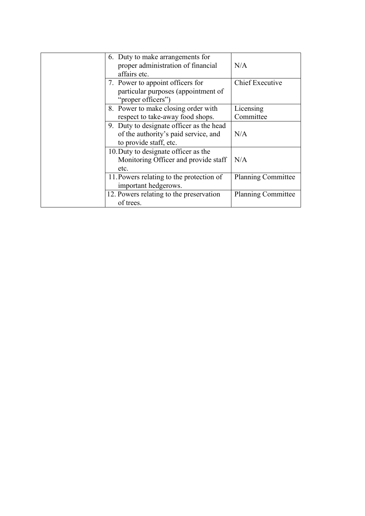|                                                                                      | 6. Duty to make arrangements for<br>proper administration of financial<br>affairs etc.                     | N/A                       |
|--------------------------------------------------------------------------------------|------------------------------------------------------------------------------------------------------------|---------------------------|
|                                                                                      | 7. Power to appoint officers for<br>particular purposes (appointment of<br>"proper officers")              | <b>Chief Executive</b>    |
|                                                                                      | 8. Power to make closing order with<br>respect to take-away food shops.                                    | Licensing<br>Committee    |
|                                                                                      | 9. Duty to designate officer as the head<br>of the authority's paid service, and<br>to provide staff, etc. | N/A                       |
| 10. Duty to designate officer as the<br>Monitoring Officer and provide staff<br>etc. |                                                                                                            | N/A                       |
|                                                                                      | 11. Powers relating to the protection of<br>important hedgerows.                                           | <b>Planning Committee</b> |
|                                                                                      | 12. Powers relating to the preservation<br>of trees.                                                       | <b>Planning Committee</b> |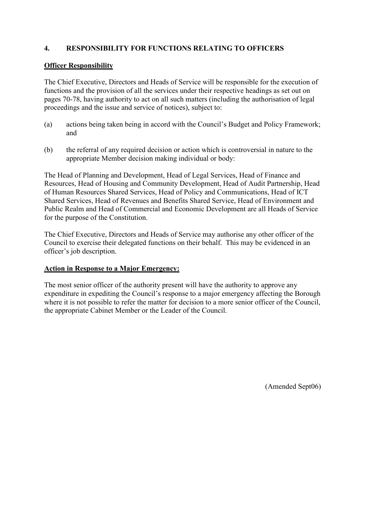### **4. RESPONSIBILITY FOR FUNCTIONS RELATING TO OFFICERS**

#### **Officer Responsibility**

The Chief Executive, Directors and Heads of Service will be responsible for the execution of functions and the provision of all the services under their respective headings as set out on pages 70-78, having authority to act on all such matters (including the authorisation of legal proceedings and the issue and service of notices), subject to:

- (a) actions being taken being in accord with the Council's Budget and Policy Framework; and
- (b) the referral of any required decision or action which is controversial in nature to the appropriate Member decision making individual or body:

The Head of Planning and Development, Head of Legal Services, Head of Finance and Resources, Head of Housing and Community Development, Head of Audit Partnership, Head of Human Resources Shared Services, Head of Policy and Communications, Head of ICT Shared Services, Head of Revenues and Benefits Shared Service, Head of Environment and Public Realm and Head of Commercial and Economic Development are all Heads of Service for the purpose of the Constitution.

The Chief Executive, Directors and Heads of Service may authorise any other officer of the Council to exercise their delegated functions on their behalf. This may be evidenced in an officer's job description.

### **Action in Response to a Major Emergency:**

The most senior officer of the authority present will have the authority to approve any expenditure in expediting the Council's response to a major emergency affecting the Borough where it is not possible to refer the matter for decision to a more senior officer of the Council, the appropriate Cabinet Member or the Leader of the Council.

(Amended Sept06)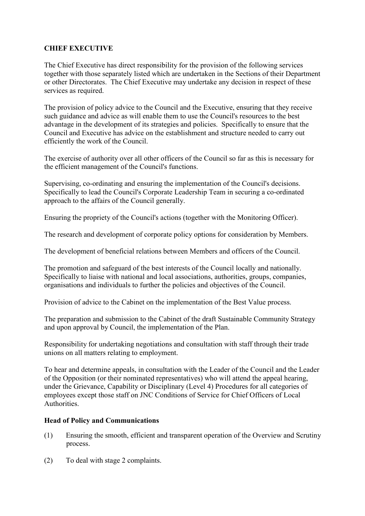### **CHIEF EXECUTIVE**

The Chief Executive has direct responsibility for the provision of the following services together with those separately listed which are undertaken in the Sections of their Department or other Directorates. The Chief Executive may undertake any decision in respect of these services as required.

The provision of policy advice to the Council and the Executive, ensuring that they receive such guidance and advice as will enable them to use the Council's resources to the best advantage in the development of its strategies and policies. Specifically to ensure that the Council and Executive has advice on the establishment and structure needed to carry out efficiently the work of the Council.

The exercise of authority over all other officers of the Council so far as this is necessary for the efficient management of the Council's functions.

Supervising, co-ordinating and ensuring the implementation of the Council's decisions. Specifically to lead the Council's Corporate Leadership Team in securing a co-ordinated approach to the affairs of the Council generally.

Ensuring the propriety of the Council's actions (together with the Monitoring Officer).

The research and development of corporate policy options for consideration by Members.

The development of beneficial relations between Members and officers of the Council.

The promotion and safeguard of the best interests of the Council locally and nationally. Specifically to liaise with national and local associations, authorities, groups, companies, organisations and individuals to further the policies and objectives of the Council.

Provision of advice to the Cabinet on the implementation of the Best Value process.

The preparation and submission to the Cabinet of the draft Sustainable Community Strategy and upon approval by Council, the implementation of the Plan.

Responsibility for undertaking negotiations and consultation with staff through their trade unions on all matters relating to employment.

To hear and determine appeals, in consultation with the Leader of the Council and the Leader of the Opposition (or their nominated representatives) who will attend the appeal hearing, under the Grievance, Capability or Disciplinary (Level 4) Procedures for all categories of employees except those staff on JNC Conditions of Service for Chief Officers of Local **Authorities** 

### **Head of Policy and Communications**

- (1) Ensuring the smooth, efficient and transparent operation of the Overview and Scrutiny process.
- (2) To deal with stage 2 complaints.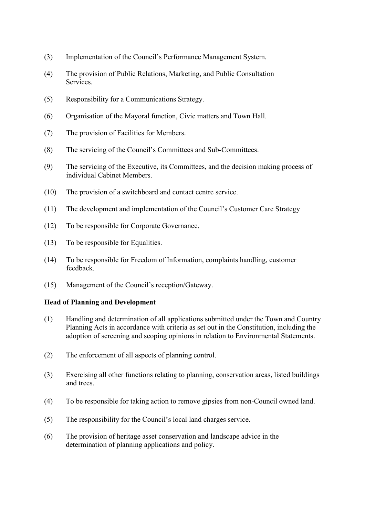- (3) Implementation of the Council's Performance Management System.
- (4) The provision of Public Relations, Marketing, and Public Consultation Services.
- (5) Responsibility for a Communications Strategy.
- (6) Organisation of the Mayoral function, Civic matters and Town Hall.
- (7) The provision of Facilities for Members.
- (8) The servicing of the Council's Committees and Sub-Committees.
- (9) The servicing of the Executive, its Committees, and the decision making process of individual Cabinet Members.
- (10) The provision of a switchboard and contact centre service.
- (11) The development and implementation of the Council's Customer Care Strategy
- (12) To be responsible for Corporate Governance.
- (13) To be responsible for Equalities.
- (14) To be responsible for Freedom of Information, complaints handling, customer feedback.
- (15) Management of the Council's reception/Gateway.

#### **Head of Planning and Development**

- (1) Handling and determination of all applications submitted under the Town and Country Planning Acts in accordance with criteria as set out in the Constitution, including the adoption of screening and scoping opinions in relation to Environmental Statements.
- (2) The enforcement of all aspects of planning control.
- (3) Exercising all other functions relating to planning, conservation areas, listed buildings and trees.
- (4) To be responsible for taking action to remove gipsies from non-Council owned land.
- (5) The responsibility for the Council's local land charges service.
- (6) The provision of heritage asset conservation and landscape advice in the determination of planning applications and policy.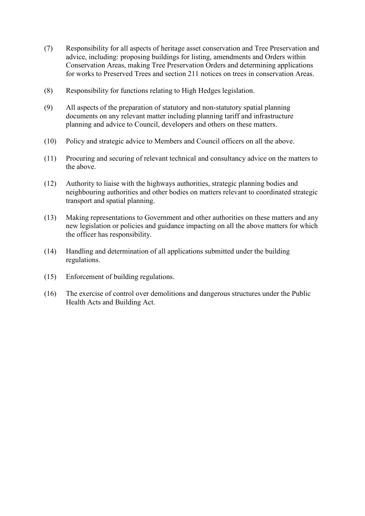- (7) Responsibility for all aspects of heritage asset conservation and Tree Preservation and advice, including: proposing buildings for listing, amendments and Orders within Conservation Areas, making Tree Preservation Orders and determining applications for works to Preserved Trees and section 211 notices on trees in conservation Areas.
- (8) Responsibility for functions relating to High Hedges legislation.
- (9) All aspects of the preparation of statutory and non-statutory spatial planning documents on any relevant matter including planning tariff and infrastructure planning and advice to Council, developers and others on these matters.
- (10) Policy and strategic advice to Members and Council officers on all the above.
- (11) Procuring and securing of relevant technical and consultancy advice on the matters to the above.
- (12) Authority to liaise with the highways authorities, strategic planning bodies and neighbouring authorities and other bodies on matters relevant to coordinated strategic transport and spatial planning.
- (13) Making representations to Government and other authorities on these matters and any new legislation or policies and guidance impacting on all the above matters for which the officer has responsibility.
- (14) Handling and determination of all applications submitted under the building regulations.
- (15) Enforcement of building regulations.
- (16) The exercise of control over demolitions and dangerous structures under the Public Health Acts and Building Act.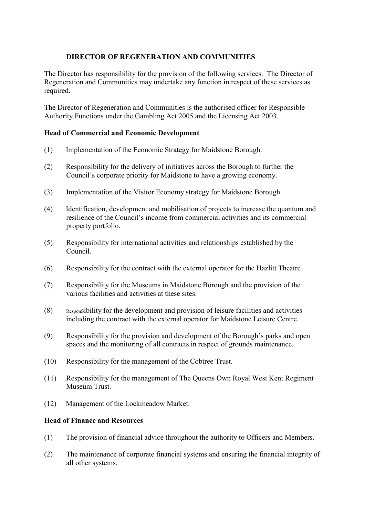### **DIRECTOR OF REGENERATION AND COMMUNITIES**

The Director has responsibility for the provision of the following services. The Director of Regeneration and Communities may undertake any function in respect of these services as required.

The Director of Regeneration and Communities is the authorised officer for Responsible Authority Functions under the Gambling Act 2005 and the Licensing Act 2003.

### **Head of Commercial and Economic Development**

- (1) Implementation of the Economic Strategy for Maidstone Borough.
- (2) Responsibility for the delivery of initiatives across the Borough to further the Council's corporate priority for Maidstone to have a growing economy.
- (3) Implementation of the Visitor Economy strategy for Maidstone Borough.
- (4) Identification, development and mobilisation of projects to increase the quantum and resilience of the Council's income from commercial activities and its commercial property portfolio.
- (5) Responsibility for international activities and relationships established by the Council.
- (6) Responsibility for the contract with the external operator for the Hazlitt Theatre
- (7) Responsibility for the Museums in Maidstone Borough and the provision of the various facilities and activities at these sites.
- (8) Responsibility for the development and provision of leisure facilities and activities including the contract with the external operator for Maidstone Leisure Centre.
- (9) Responsibility for the provision and development of the Borough's parks and open spaces and the monitoring of all contracts in respect of grounds maintenance.
- (10) Responsibility for the management of the Cobtree Trust.
- (11) Responsibility for the management of The Queens Own Royal West Kent Regiment Museum Trust.
- (12) Management of the Lockmeadow Market.

## **Head of Finance and Resources**

- (1) The provision of financial advice throughout the authority to Officers and Members.
- (2) The maintenance of corporate financial systems and ensuring the financial integrity of all other systems.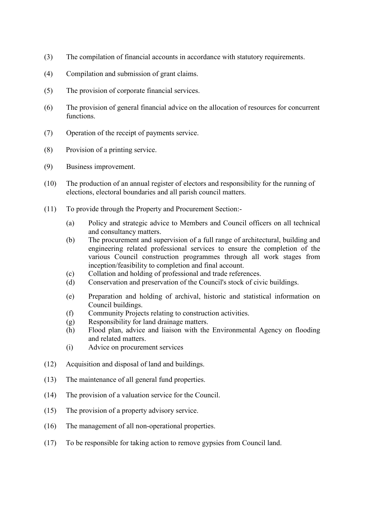- (3) The compilation of financial accounts in accordance with statutory requirements.
- (4) Compilation and submission of grant claims.
- (5) The provision of corporate financial services.
- (6) The provision of general financial advice on the allocation of resources for concurrent functions.
- (7) Operation of the receipt of payments service.
- (8) Provision of a printing service.
- (9) Business improvement.
- (10) The production of an annual register of electors and responsibility for the running of elections, electoral boundaries and all parish council matters.
- (11) To provide through the Property and Procurement Section:-
	- (a) Policy and strategic advice to Members and Council officers on all technical and consultancy matters.
	- (b) The procurement and supervision of a full range of architectural, building and engineering related professional services to ensure the completion of the various Council construction programmes through all work stages from inception/feasibility to completion and final account.
	- (c) Collation and holding of professional and trade references.
	- (d) Conservation and preservation of the Council's stock of civic buildings.
	- (e) Preparation and holding of archival, historic and statistical information on Council buildings.
	- (f) Community Projects relating to construction activities.
	- (g) Responsibility for land drainage matters.
	- (h) Flood plan, advice and liaison with the Environmental Agency on flooding and related matters.
	- (i) Advice on procurement services
- (12) Acquisition and disposal of land and buildings.
- (13) The maintenance of all general fund properties.
- (14) The provision of a valuation service for the Council.
- (15) The provision of a property advisory service.
- (16) The management of all non-operational properties.
- (17) To be responsible for taking action to remove gypsies from Council land.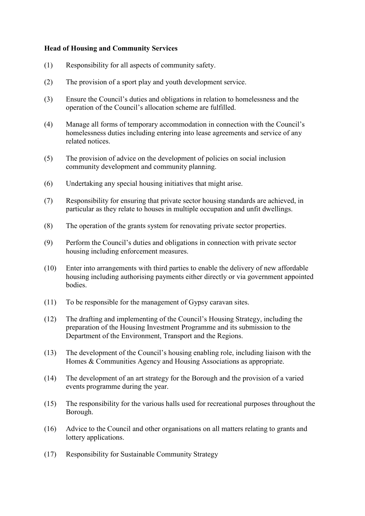#### **Head of Housing and Community Services**

- (1) Responsibility for all aspects of community safety.
- (2) The provision of a sport play and youth development service.
- (3) Ensure the Council's duties and obligations in relation to homelessness and the operation of the Council's allocation scheme are fulfilled.
- (4) Manage all forms of temporary accommodation in connection with the Council's homelessness duties including entering into lease agreements and service of any related notices.
- (5) The provision of advice on the development of policies on social inclusion community development and community planning.
- (6) Undertaking any special housing initiatives that might arise.
- (7) Responsibility for ensuring that private sector housing standards are achieved, in particular as they relate to houses in multiple occupation and unfit dwellings.
- (8) The operation of the grants system for renovating private sector properties.
- (9) Perform the Council's duties and obligations in connection with private sector housing including enforcement measures.
- (10) Enter into arrangements with third parties to enable the delivery of new affordable housing including authorising payments either directly or via government appointed bodies.
- (11) To be responsible for the management of Gypsy caravan sites.
- (12) The drafting and implementing of the Council's Housing Strategy, including the preparation of the Housing Investment Programme and its submission to the Department of the Environment, Transport and the Regions.
- (13) The development of the Council's housing enabling role, including liaison with the Homes & Communities Agency and Housing Associations as appropriate.
- (14) The development of an art strategy for the Borough and the provision of a varied events programme during the year.
- (15) The responsibility for the various halls used for recreational purposes throughout the Borough.
- (16) Advice to the Council and other organisations on all matters relating to grants and lottery applications.
- (17) Responsibility for Sustainable Community Strategy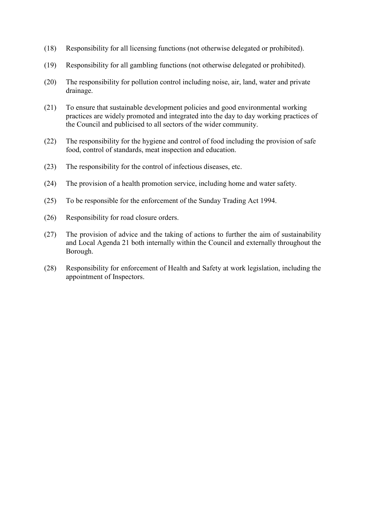- (18) Responsibility for all licensing functions (not otherwise delegated or prohibited).
- (19) Responsibility for all gambling functions (not otherwise delegated or prohibited).
- (20) The responsibility for pollution control including noise, air, land, water and private drainage.
- (21) To ensure that sustainable development policies and good environmental working practices are widely promoted and integrated into the day to day working practices of the Council and publicised to all sectors of the wider community.
- (22) The responsibility for the hygiene and control of food including the provision of safe food, control of standards, meat inspection and education.
- (23) The responsibility for the control of infectious diseases, etc.
- (24) The provision of a health promotion service, including home and water safety.
- (25) To be responsible for the enforcement of the Sunday Trading Act 1994.
- (26) Responsibility for road closure orders.
- (27) The provision of advice and the taking of actions to further the aim of sustainability and Local Agenda 21 both internally within the Council and externally throughout the Borough.
- (28) Responsibility for enforcement of Health and Safety at work legislation, including the appointment of Inspectors.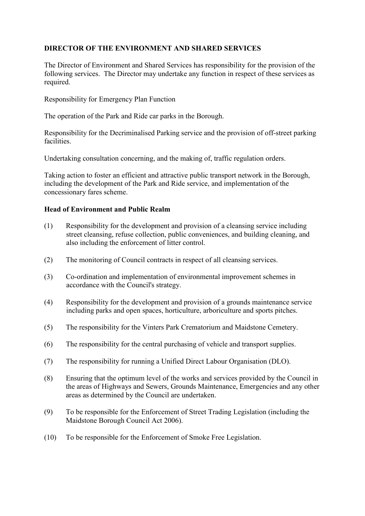## **DIRECTOR OF THE ENVIRONMENT AND SHARED SERVICES**

The Director of Environment and Shared Services has responsibility for the provision of the following services. The Director may undertake any function in respect of these services as required.

Responsibility for Emergency Plan Function

The operation of the Park and Ride car parks in the Borough.

Responsibility for the Decriminalised Parking service and the provision of off-street parking facilities.

Undertaking consultation concerning, and the making of, traffic regulation orders.

Taking action to foster an efficient and attractive public transport network in the Borough, including the development of the Park and Ride service, and implementation of the concessionary fares scheme.

#### **Head of Environment and Public Realm**

- (1) Responsibility for the development and provision of a cleansing service including street cleansing, refuse collection, public conveniences, and building cleaning, and also including the enforcement of litter control.
- (2) The monitoring of Council contracts in respect of all cleansing services.
- (3) Co-ordination and implementation of environmental improvement schemes in accordance with the Council's strategy.
- (4) Responsibility for the development and provision of a grounds maintenance service including parks and open spaces, horticulture, arboriculture and sports pitches.
- (5) The responsibility for the Vinters Park Crematorium and Maidstone Cemetery.
- (6) The responsibility for the central purchasing of vehicle and transport supplies.
- (7) The responsibility for running a Unified Direct Labour Organisation (DLO).
- (8) Ensuring that the optimum level of the works and services provided by the Council in the areas of Highways and Sewers, Grounds Maintenance, Emergencies and any other areas as determined by the Council are undertaken.
- (9) To be responsible for the Enforcement of Street Trading Legislation (including the Maidstone Borough Council Act 2006).
- (10) To be responsible for the Enforcement of Smoke Free Legislation.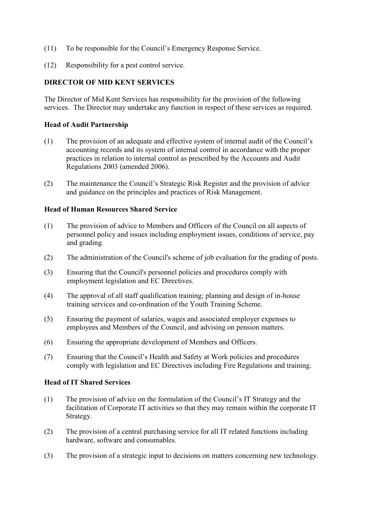- (11) To be responsible for the Council's Emergency Response Service.
- (12) Responsibility for a pest control service.

### **DIRECTOR OF MID KENT SERVICES**

The Director of Mid Kent Services has responsibility for the provision of the following services. The Director may undertake any function in respect of these services as required.

#### **Head of Audit Partnership**

- (1) The provision of an adequate and effective system of internal audit of the Council's accounting records and its system of internal control in accordance with the proper practices in relation to internal control as prescribed by the Accounts and Audit Regulations 2003 (amended 2006).
- (2) The maintenance the Council's Strategic Risk Register and the provision of advice and guidance on the principles and practices of Risk Management.

### **Head of Human Resources Shared Service**

- (1) The provision of advice to Members and Officers of the Council on all aspects of personnel policy and issues including employment issues, conditions of service, pay and grading.
- (2) The administration of the Council's scheme of job evaluation for the grading of posts.
- (3) Ensuring that the Council's personnel policies and procedures comply with employment legislation and EC Directives.
- (4) The approval of all staff qualification training; planning and design of in-house training services and co-ordination of the Youth Training Scheme.
- (5) Ensuring the payment of salaries, wages and associated employer expenses to employees and Members of the Council, and advising on pension matters.
- (6) Ensuring the appropriate development of Members and Officers.
- (7) Ensuring that the Council's Health and Safety at Work policies and procedures comply with legislation and EC Directives including Fire Regulations and training.

#### **Head of IT Shared Services**

- (1) The provision of advice on the formulation of the Council's IT Strategy and the facilitation of Corporate IT activities so that they may remain within the corporate IT Strategy.
- (2) The provision of a central purchasing service for all IT related functions including hardware, software and consumables.
- (3) The provision of a strategic input to decisions on matters concerning new technology.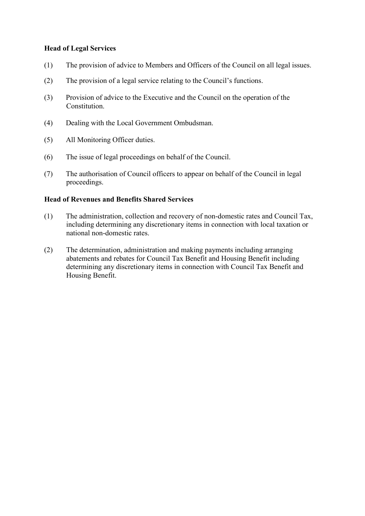#### **Head of Legal Services**

- (1) The provision of advice to Members and Officers of the Council on all legal issues.
- (2) The provision of a legal service relating to the Council's functions.
- (3) Provision of advice to the Executive and the Council on the operation of the Constitution.
- (4) Dealing with the Local Government Ombudsman.
- (5) All Monitoring Officer duties.
- (6) The issue of legal proceedings on behalf of the Council.
- (7) The authorisation of Council officers to appear on behalf of the Council in legal proceedings.

#### **Head of Revenues and Benefits Shared Services**

- (1) The administration, collection and recovery of non-domestic rates and Council Tax, including determining any discretionary items in connection with local taxation or national non-domestic rates.
- (2) The determination, administration and making payments including arranging abatements and rebates for Council Tax Benefit and Housing Benefit including determining any discretionary items in connection with Council Tax Benefit and Housing Benefit.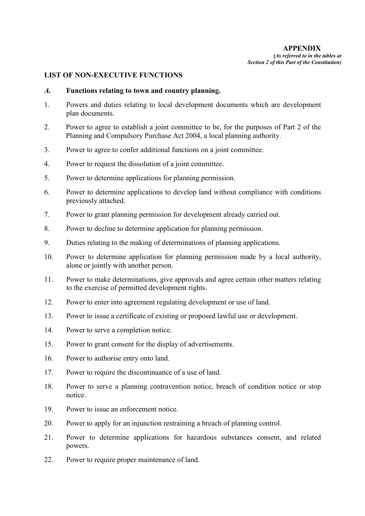### **LIST OF NON-EXECUTIVE FUNCTIONS**

#### *A.* **Functions relating to town and country planning.**

- 1. Powers and duties relating to local development documents which are development plan documents.
- 2. Power to agree to establish a joint committee to be, for the purposes of Part 2 of the Planning and Compulsory Purchase Act 2004, a local planning authority.
- 3. Power to agree to confer additional functions on a joint committee.
- 4. Power to request the dissolution of a joint committee.
- 5. Power to determine applications for planning permission.
- 6. Power to determine applications to develop land without compliance with conditions previously attached.
- 7. Power to grant planning permission for development already carried out.
- 8. Power to decline to determine application for planning permission.
- 9. Duties relating to the making of determinations of planning applications.
- 10. Power to determine application for planning permission made by a local authority, alone or jointly with another person.
- 11. Power to make determinations, give approvals and agree certain other matters relating to the exercise of permitted development rights.
- 12. Power to enter into agreement regulating development or use of land.
- 13. Power to issue a certificate of existing or proposed lawful use or development.
- 14. Power to serve a completion notice.
- 15. Power to grant consent for the display of advertisements.
- 16. Power to authorise entry onto land.
- 17. Power to require the discontinuance of a use of land.
- 18. Power to serve a planning contravention notice, breach of condition notice or stop notice.
- 19. Power to issue an enforcement notice.
- 20. Power to apply for an injunction restraining a breach of planning control.
- 21. Power to determine applications for hazardous substances consent, and related powers.
- 22. Power to require proper maintenance of land.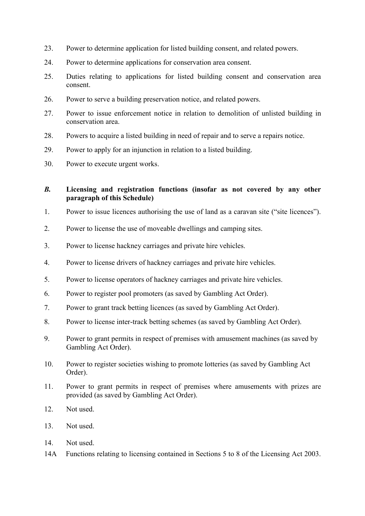- 23. Power to determine application for listed building consent, and related powers.
- 24. Power to determine applications for conservation area consent.
- 25. Duties relating to applications for listed building consent and conservation area consent.
- 26. Power to serve a building preservation notice, and related powers.
- 27. Power to issue enforcement notice in relation to demolition of unlisted building in conservation area.
- 28. Powers to acquire a listed building in need of repair and to serve a repairs notice.
- 29. Power to apply for an injunction in relation to a listed building.
- 30. Power to execute urgent works.

### *B.* **Licensing and registration functions (insofar as not covered by any other paragraph of this Schedule)**

- 1. Power to issue licences authorising the use of land as a caravan site ("site licences").
- 2. Power to license the use of moveable dwellings and camping sites.
- 3. Power to license hackney carriages and private hire vehicles.
- 4. Power to license drivers of hackney carriages and private hire vehicles.
- 5. Power to license operators of hackney carriages and private hire vehicles.
- 6. Power to register pool promoters (as saved by Gambling Act Order).
- 7. Power to grant track betting licences (as saved by Gambling Act Order).
- 8. Power to license inter-track betting schemes (as saved by Gambling Act Order).
- 9. Power to grant permits in respect of premises with amusement machines (as saved by Gambling Act Order).
- 10. Power to register societies wishing to promote lotteries (as saved by Gambling Act Order).
- 11. Power to grant permits in respect of premises where amusements with prizes are provided (as saved by Gambling Act Order).
- 12. Not used.
- 13. Not used.
- 14. Not used.
- 14A Functions relating to licensing contained in Sections 5 to 8 of the Licensing Act 2003.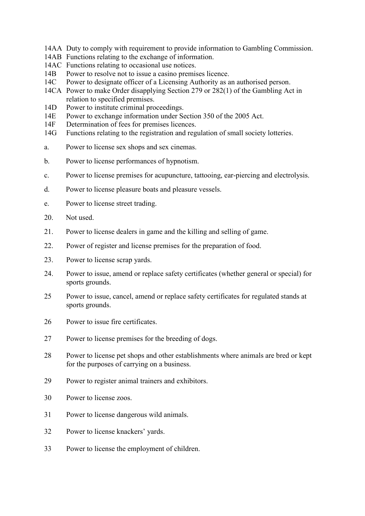- 14AA Duty to comply with requirement to provide information to Gambling Commission.
- 14AB Functions relating to the exchange of information.
- 14AC Functions relating to occasional use notices.
- 14B Power to resolve not to issue a casino premises licence.
- 14C Power to designate officer of a Licensing Authority as an authorised person.
- 14CA Power to make Order disapplying Section 279 or 282(1) of the Gambling Act in relation to specified premises.
- 14D Power to institute criminal proceedings.
- 14E Power to exchange information under Section 350 of the 2005 Act.
- 14F Determination of fees for premises licences.
- 14G Functions relating to the registration and regulation of small society lotteries.
- a. Power to license sex shops and sex cinemas.
- b. Power to license performances of hypnotism.
- c. Power to license premises for acupuncture, tattooing, ear-piercing and electrolysis.
- d. Power to license pleasure boats and pleasure vessels.
- e. Power to license street trading.
- 20. Not used.
- 21. Power to license dealers in game and the killing and selling of game.
- 22. Power of register and license premises for the preparation of food.
- 23. Power to license scrap yards.
- 24. Power to issue, amend or replace safety certificates (whether general or special) for sports grounds.
- 25 Power to issue, cancel, amend or replace safety certificates for regulated stands at sports grounds.
- 26 Power to issue fire certificates.
- 27 Power to license premises for the breeding of dogs.
- 28 Power to license pet shops and other establishments where animals are bred or kept for the purposes of carrying on a business.
- 29 Power to register animal trainers and exhibitors.
- 30 Power to license zoos.
- 31 Power to license dangerous wild animals.
- 32 Power to license knackers' yards.
- 33 Power to license the employment of children.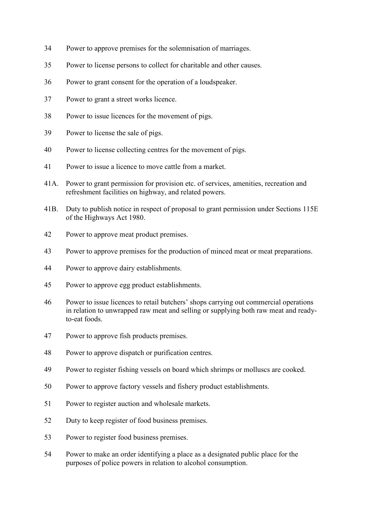- Power to approve premises for the solemnisation of marriages.
- Power to license persons to collect for charitable and other causes.
- Power to grant consent for the operation of a loudspeaker.
- Power to grant a street works licence.
- Power to issue licences for the movement of pigs.
- Power to license the sale of pigs.
- Power to license collecting centres for the movement of pigs.
- Power to issue a licence to move cattle from a market.
- 41A. Power to grant permission for provision etc. of services, amenities, recreation and refreshment facilities on highway, and related powers.
- 41B. Duty to publish notice in respect of proposal to grant permission under Sections 115E of the Highways Act 1980.
- Power to approve meat product premises.
- Power to approve premises for the production of minced meat or meat preparations.
- Power to approve dairy establishments.
- Power to approve egg product establishments.
- Power to issue licences to retail butchers' shops carrying out commercial operations in relation to unwrapped raw meat and selling or supplying both raw meat and readyto-eat foods.
- Power to approve fish products premises.
- Power to approve dispatch or purification centres.
- Power to register fishing vessels on board which shrimps or molluscs are cooked.
- Power to approve factory vessels and fishery product establishments.
- Power to register auction and wholesale markets.
- Duty to keep register of food business premises.
- Power to register food business premises.
- Power to make an order identifying a place as a designated public place for the purposes of police powers in relation to alcohol consumption.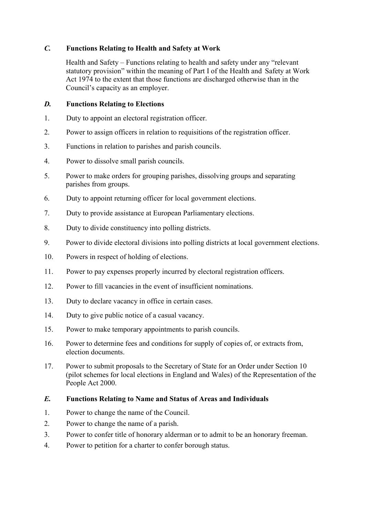### *C.* **Functions Relating to Health and Safety at Work**

 Health and Safety – Functions relating to health and safety under any "relevant statutory provision" within the meaning of Part I of the Health and Safety at Work Act 1974 to the extent that those functions are discharged otherwise than in the Council's capacity as an employer.

### *D.* **Functions Relating to Elections**

- 1. Duty to appoint an electoral registration officer.
- 2. Power to assign officers in relation to requisitions of the registration officer.
- 3. Functions in relation to parishes and parish councils.
- 4. Power to dissolve small parish councils.
- 5. Power to make orders for grouping parishes, dissolving groups and separating parishes from groups.
- 6. Duty to appoint returning officer for local government elections.
- 7. Duty to provide assistance at European Parliamentary elections.
- 8. Duty to divide constituency into polling districts.
- 9. Power to divide electoral divisions into polling districts at local government elections.
- 10. Powers in respect of holding of elections.
- 11. Power to pay expenses properly incurred by electoral registration officers.
- 12. Power to fill vacancies in the event of insufficient nominations.
- 13. Duty to declare vacancy in office in certain cases.
- 14. Duty to give public notice of a casual vacancy.
- 15. Power to make temporary appointments to parish councils.
- 16. Power to determine fees and conditions for supply of copies of, or extracts from, election documents.
- 17. Power to submit proposals to the Secretary of State for an Order under Section 10 (pilot schemes for local elections in England and Wales) of the Representation of the People Act 2000.

### *E.* **Functions Relating to Name and Status of Areas and Individuals**

- 1. Power to change the name of the Council.
- 2. Power to change the name of a parish.
- 3. Power to confer title of honorary alderman or to admit to be an honorary freeman.
- 4. Power to petition for a charter to confer borough status.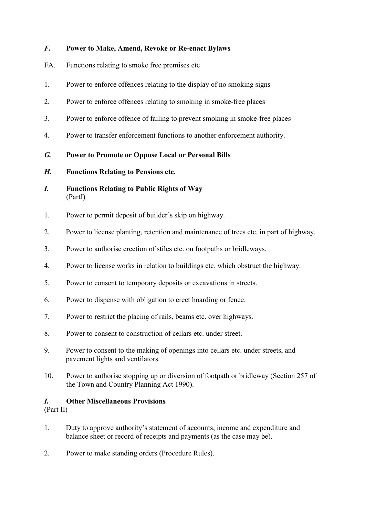## *F.* **Power to Make, Amend, Revoke or Re-enact Bylaws**

- FA. Functions relating to smoke free premises etc
- 1. Power to enforce offences relating to the display of no smoking signs
- 2. Power to enforce offences relating to smoking in smoke-free places
- 3. Power to enforce offence of failing to prevent smoking in smoke-free places
- 4. Power to transfer enforcement functions to another enforcement authority.
- *G.* **Power to Promote or Oppose Local or Personal Bills**
- *H.* **Functions Relating to Pensions etc.**
- *I.* **Functions Relating to Public Rights of Way**  (PartI)
- 1. Power to permit deposit of builder's skip on highway.
- 2. Power to license planting, retention and maintenance of trees etc. in part of highway.
- 3. Power to authorise erection of stiles etc. on footpaths or bridleways.
- 4. Power to license works in relation to buildings etc. which obstruct the highway.
- 5. Power to consent to temporary deposits or excavations in streets.
- 6. Power to dispense with obligation to erect hoarding or fence.
- 7. Power to restrict the placing of rails, beams etc. over highways.
- 8. Power to consent to construction of cellars etc. under street.
- 9. Power to consent to the making of openings into cellars etc. under streets, and pavement lights and ventilators.
- 10. Power to authorise stopping up or diversion of footpath or bridleway (Section 257 of the Town and Country Planning Act 1990).

### *I.* **Other Miscellaneous Provisions**

(Part II)

- 1. Duty to approve authority's statement of accounts, income and expenditure and balance sheet or record of receipts and payments (as the case may be).
- 2. Power to make standing orders (Procedure Rules).